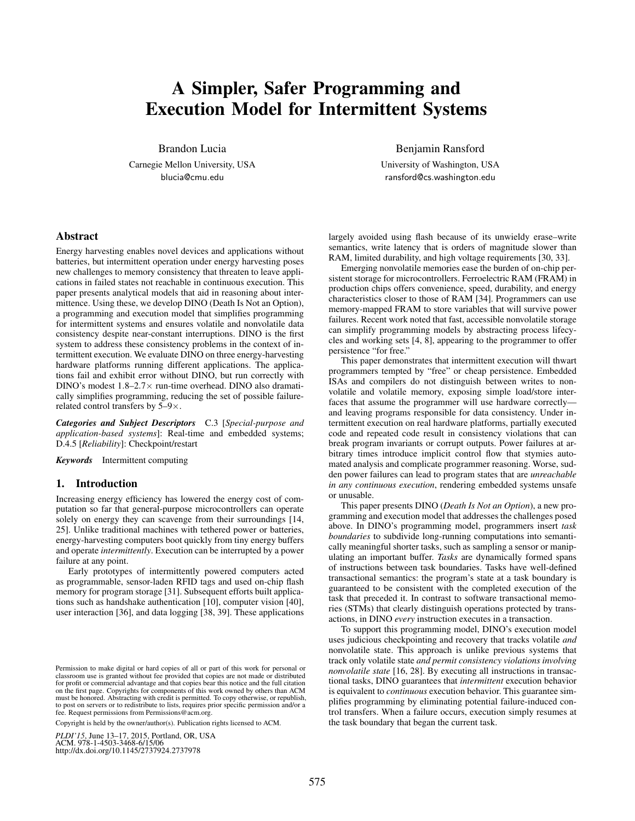# A Simpler, Safer Programming and Execution Model for Intermittent Systems

Brandon Lucia

Carnegie Mellon University, USA blucia@cmu.edu

# Abstract

Energy harvesting enables novel devices and applications without batteries, but intermittent operation under energy harvesting poses new challenges to memory consistency that threaten to leave applications in failed states not reachable in continuous execution. This paper presents analytical models that aid in reasoning about intermittence. Using these, we develop DINO (Death Is Not an Option), a programming and execution model that simplifies programming for intermittent systems and ensures volatile and nonvolatile data consistency despite near-constant interruptions. DINO is the first system to address these consistency problems in the context of intermittent execution. We evaluate DINO on three energy-harvesting hardware platforms running different applications. The applications fail and exhibit error without DINO, but run correctly with DINO's modest 1.8–2.7× run-time overhead. DINO also dramatically simplifies programming, reducing the set of possible failurerelated control transfers by 5–9×.

*Categories and Subject Descriptors* C.3 [*Special-purpose and application-based systems*]: Real-time and embedded systems; D.4.5 [*Reliability*]: Checkpoint/restart

*Keywords* Intermittent computing

# 1. Introduction

Increasing energy efficiency has lowered the energy cost of computation so far that general-purpose microcontrollers can operate solely on energy they can scavenge from their surroundings [14, 25]. Unlike traditional machines with tethered power or batteries, energy-harvesting computers boot quickly from tiny energy buffers and operate *intermittently*. Execution can be interrupted by a power failure at any point.

Early prototypes of intermittently powered computers acted as programmable, sensor-laden RFID tags and used on-chip flash memory for program storage [31]. Subsequent efforts built applications such as handshake authentication [10], computer vision [40], user interaction [36], and data logging [38, 39]. These applications

Copyright is held by the owner/author(s). Publication rights licensed to ACM.

PLDI'15 , June 13–17, 2015, Portland, OR, USA Copyright c 2015 ACM 978-1-4503-3468-6/15/06. . . \$15.00 *PLDI'15*, June 13–17, 2015, Portland, OR, USA ACM. 978-1-4503-3468-6/15/06 DOI: http://dx.doi.org/10.1145/2737924.2737978 http://dx.doi.org/10.1145/2737924.2737978

Benjamin Ransford

University of Washington, USA ransford@cs.washington.edu

largely avoided using flash because of its unwieldy erase–write semantics, write latency that is orders of magnitude slower than RAM, limited durability, and high voltage requirements [30, 33].

Emerging nonvolatile memories ease the burden of on-chip persistent storage for microcontrollers. Ferroelectric RAM (FRAM) in production chips offers convenience, speed, durability, and energy characteristics closer to those of RAM [34]. Programmers can use memory-mapped FRAM to store variables that will survive power failures. Recent work noted that fast, accessible nonvolatile storage can simplify programming models by abstracting process lifecycles and working sets [4, 8], appearing to the programmer to offer persistence "for free."

This paper demonstrates that intermittent execution will thwart programmers tempted by "free" or cheap persistence. Embedded ISAs and compilers do not distinguish between writes to nonvolatile and volatile memory, exposing simple load/store interfaces that assume the programmer will use hardware correctly and leaving programs responsible for data consistency. Under intermittent execution on real hardware platforms, partially executed code and repeated code result in consistency violations that can break program invariants or corrupt outputs. Power failures at arbitrary times introduce implicit control flow that stymies automated analysis and complicate programmer reasoning. Worse, sudden power failures can lead to program states that are *unreachable in any continuous execution*, rendering embedded systems unsafe or unusable.

This paper presents DINO (*Death Is Not an Option*), a new programming and execution model that addresses the challenges posed above. In DINO's programming model, programmers insert *task boundaries* to subdivide long-running computations into semantically meaningful shorter tasks, such as sampling a sensor or manipulating an important buffer. *Tasks* are dynamically formed spans of instructions between task boundaries. Tasks have well-defined transactional semantics: the program's state at a task boundary is guaranteed to be consistent with the completed execution of the task that preceded it. In contrast to software transactional memories (STMs) that clearly distinguish operations protected by transactions, in DINO *every* instruction executes in a transaction.

To support this programming model, DINO's execution model uses judicious checkpointing and recovery that tracks volatile *and* nonvolatile state. This approach is unlike previous systems that track only volatile state *and permit consistency violations involving nonvolatile state* [16, 28]. By executing all instructions in transactional tasks, DINO guarantees that *intermittent* execution behavior is equivalent to *continuous* execution behavior. This guarantee simplifies programming by eliminating potential failure-induced control transfers. When a failure occurs, execution simply resumes at the task boundary that began the current task.

Permission to make digital or hard copies of all or part of this work for personal or classroom use is granted without tee provided that copies are not made or distributed<br>for profit or commercial advantage and that copies bear this notice and the full citation<br>on the first page. Copyrights for components o request be nonoted. This interest permission or Publications Dept. The permission of the permission and/or a to post on servers or to redistribute to lists, requires prior specific permission and/or a fax and below the community of the by Owner Permissions. Publication Rights of the Permissions of the Divisions  $\mathcal{Q}$  acm.org. classroom use is granted without fee provided that copies are not made or distributed for profit or commercial advantage and that copies bear this notice and the full citation<br>on the first page. Copyrights for components of this work owned by others than ACM<br>must be honored. Abstracting with credit is permi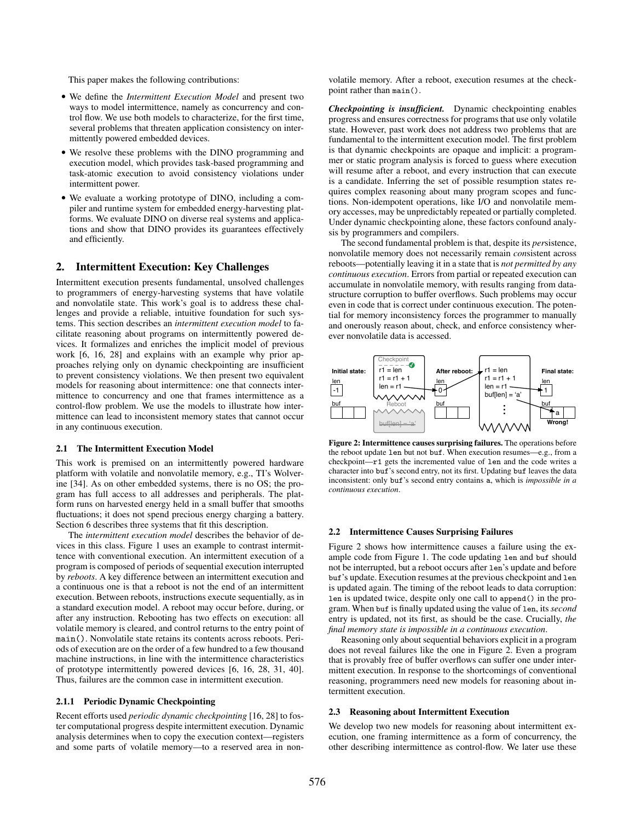This paper makes the following contributions:

- We define the *Intermittent Execution Model* and present two ways to model intermittence, namely as concurrency and control flow. We use both models to characterize, for the first time, several problems that threaten application consistency on intermittently powered embedded devices.
- We resolve these problems with the DINO programming and execution model, which provides task-based programming and task-atomic execution to avoid consistency violations under intermittent power.
- We evaluate a working prototype of DINO, including a compiler and runtime system for embedded energy-harvesting platforms. We evaluate DINO on diverse real systems and applications and show that DINO provides its guarantees effectively and efficiently.

# 2. Intermittent Execution: Key Challenges

Intermittent execution presents fundamental, unsolved challenges to programmers of energy-harvesting systems that have volatile and nonvolatile state. This work's goal is to address these challenges and provide a reliable, intuitive foundation for such systems. This section describes an *intermittent execution model* to facilitate reasoning about programs on intermittently powered devices. It formalizes and enriches the implicit model of previous work [6, 16, 28] and explains with an example why prior approaches relying only on dynamic checkpointing are insufficient to prevent consistency violations. We then present two equivalent models for reasoning about intermittence: one that connects intermittence to concurrency and one that frames intermittence as a control-flow problem. We use the models to illustrate how intermittence can lead to inconsistent memory states that cannot occur in any continuous execution.

#### 2.1 The Intermittent Execution Model

This work is premised on an intermittently powered hardware platform with volatile and nonvolatile memory, e.g., TI's Wolverine [34]. As on other embedded systems, there is no OS; the program has full access to all addresses and peripherals. The platform runs on harvested energy held in a small buffer that smooths fluctuations; it does not spend precious energy charging a battery. Section 6 describes three systems that fit this description.

The *intermittent execution model* describes the behavior of devices in this class. Figure 1 uses an example to contrast intermittence with conventional execution. An intermittent execution of a program is composed of periods of sequential execution interrupted by *reboots*. A key difference between an intermittent execution and a continuous one is that a reboot is not the end of an intermittent execution. Between reboots, instructions execute sequentially, as in a standard execution model. A reboot may occur before, during, or after any instruction. Rebooting has two effects on execution: all volatile memory is cleared, and control returns to the entry point of main(). Nonvolatile state retains its contents across reboots. Periods of execution are on the order of a few hundred to a few thousand machine instructions, in line with the intermittence characteristics of prototype intermittently powered devices [6, 16, 28, 31, 40]. Thus, failures are the common case in intermittent execution.

# 2.1.1 Periodic Dynamic Checkpointing

Recent efforts used *periodic dynamic checkpointing* [16, 28] to foster computational progress despite intermittent execution. Dynamic analysis determines when to copy the execution context—registers and some parts of volatile memory—to a reserved area in non-

volatile memory. After a reboot, execution resumes at the checkpoint rather than main().

*Checkpointing is insufficient.* Dynamic checkpointing enables progress and ensures correctness for programs that use only volatile state. However, past work does not address two problems that are fundamental to the intermittent execution model. The first problem is that dynamic checkpoints are opaque and implicit: a programmer or static program analysis is forced to guess where execution will resume after a reboot, and every instruction that can execute is a candidate. Inferring the set of possible resumption states requires complex reasoning about many program scopes and functions. Non-idempotent operations, like I/O and nonvolatile memory accesses, may be unpredictably repeated or partially completed. Under dynamic checkpointing alone, these factors confound analysis by programmers and compilers.

The second fundamental problem is that, despite its *per*sistence, nonvolatile memory does not necessarily remain *con*sistent across reboots—potentially leaving it in a state that is *not permitted by any continuous execution*. Errors from partial or repeated execution can accumulate in nonvolatile memory, with results ranging from datastructure corruption to buffer overflows. Such problems may occur even in code that is correct under continuous execution. The potential for memory inconsistency forces the programmer to manually and onerously reason about, check, and enforce consistency wherever nonvolatile data is accessed.



Figure 2: Intermittence causes surprising failures. The operations before the reboot update len but not buf. When execution resumes—e.g., from a checkpoint—r1 gets the incremented value of len and the code writes a character into buf's second entry, not its first. Updating buf leaves the data inconsistent: only buf's second entry contains a, which is *impossible in a continuous execution*.

#### 2.2 Intermittence Causes Surprising Failures

Figure 2 shows how intermittence causes a failure using the example code from Figure 1. The code updating len and buf should not be interrupted, but a reboot occurs after len's update and before buf's update. Execution resumes at the previous checkpoint and len is updated again. The timing of the reboot leads to data corruption: len is updated twice, despite only one call to append() in the program. When buf is finally updated using the value of len, its *second* entry is updated, not its first, as should be the case. Crucially, *the final memory state is impossible in a continuous execution*.

Reasoning only about sequential behaviors explicit in a program does not reveal failures like the one in Figure 2. Even a program that is provably free of buffer overflows can suffer one under intermittent execution. In response to the shortcomings of conventional reasoning, programmers need new models for reasoning about intermittent execution.

# 2.3 Reasoning about Intermittent Execution

We develop two new models for reasoning about intermittent execution, one framing intermittence as a form of concurrency, the other describing intermittence as control-flow. We later use these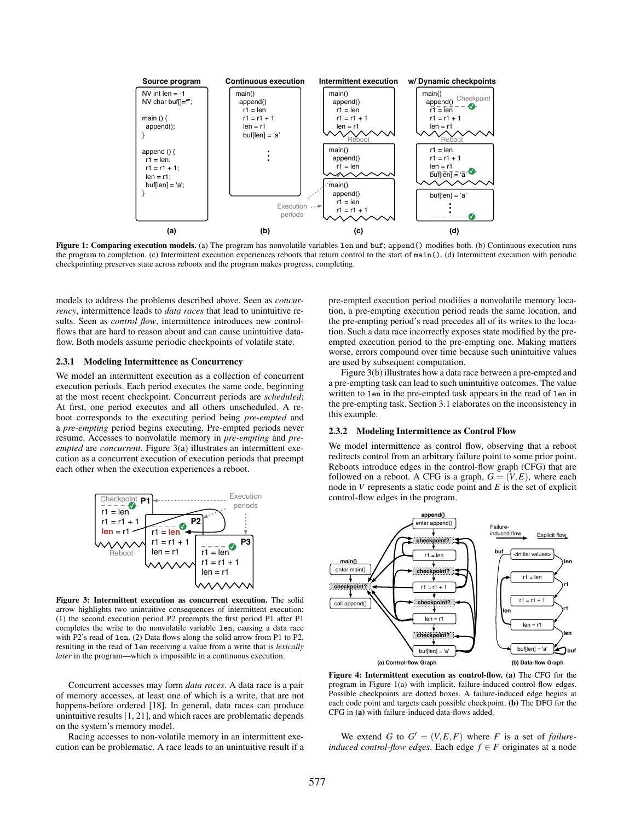

Figure 1: Comparing execution models. (a) The program has nonvolatile variables len and buf; append() modifies both. (b) Continuous execution runs the program to completion. (c) Intermittent execution experiences reboots that return control to the start of main(). (d) Intermittent execution with periodic checkpointing preserves state across reboots and the program makes progress, completing.

models to address the problems described above. Seen as *concurrency*, intermittence leads to *data races* that lead to unintuitive results. Seen as *control flow*, intermittence introduces new controlflows that are hard to reason about and can cause unintuitive dataflow. Both models assume periodic checkpoints of volatile state.

#### 2.3.1 Modeling Intermittence as Concurrency

We model an intermittent execution as a collection of concurrent execution periods. Each period executes the same code, beginning at the most recent checkpoint. Concurrent periods are *scheduled*; At first, one period executes and all others unscheduled. A reboot corresponds to the executing period being *pre-empted* and a *pre-empting* period begins executing. Pre-empted periods never resume. Accesses to nonvolatile memory in *pre-empting* and *preempted* are *concurrent*. Figure 3(a) illustrates an intermittent execution as a concurrent execution of execution periods that preempt each other when the execution experiences a reboot.



Figure 3: Intermittent execution as concurrent execution. The solid arrow highlights two unintuitive consequences of intermittent execution: (1) the second execution period P2 preempts the first period P1 after P1 completes the write to the nonvolatile variable len, causing a data race with P2's read of len. (2) Data flows along the solid arrow from P1 to P2, resulting in the read of len receiving a value from a write that is *lexically later* in the program—which is impossible in a continuous execution.

Concurrent accesses may form *data races*. A data race is a pair of memory accesses, at least one of which is a write, that are not happens-before ordered [18]. In general, data races can produce unintuitive results [1, 21], and which races are problematic depends on the system's memory model.

Racing accesses to non-volatile memory in an intermittent execution can be problematic. A race leads to an unintuitive result if a

pre-empted execution period modifies a nonvolatile memory location, a pre-empting execution period reads the same location, and the pre-empting period's read precedes all of its writes to the location. Such a data race incorrectly exposes state modified by the preempted execution period to the pre-empting one. Making matters worse, errors compound over time because such unintuitive values are used by subsequent computation.

Figure 3(b) illustrates how a data race between a pre-empted and a pre-empting task can lead to such unintuitive outcomes. The value written to len in the pre-empted task appears in the read of len in the pre-empting task. Section 3.1 elaborates on the inconsistency in this example.

# 2.3.2 Modeling Intermittence as Control Flow

We model intermittence as control flow, observing that a reboot redirects control from an arbitrary failure point to some prior point. Reboots introduce edges in the control-flow graph (CFG) that are followed on a reboot. A CFG is a graph,  $G = (V, E)$ , where each node in *V* represents a static code point and *E* is the set of explicit control-flow edges in the program.



Figure 4: Intermittent execution as control-flow. (a) The CFG for the program in Figure 1(a) with implicit, failure-induced control-flow edges. Possible checkpoints are dotted boxes. A failure-induced edge begins at each code point and targets each possible checkpoint. (b) The DFG for the CFG in (a) with failure-induced data-flows added.

We extend *G* to  $G' = (V, E, F)$  where *F* is a set of *failureinduced control-flow edges*. Each edge  $f \in F$  originates at a node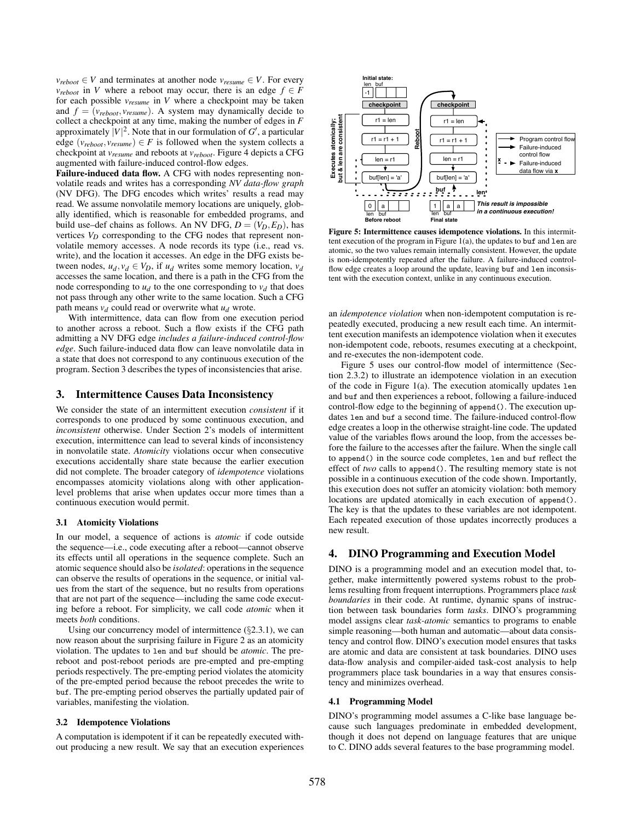$v_{reboot} \in V$  and terminates at another node  $v_{resume} \in V$ . For every *v*<sub>reboot</sub> in *V* where a reboot may occur, there is an edge  $f \in F$ for each possible  $v_{\text{resume}}$  in *V* where a checkpoint may be taken and  $f = (v_{reboot}, v_{resume})$ . A system may dynamically decide to collect a checkpoint at any time, making the number of edges in *F* approximately  $|V|^2$ . Note that in our formulation of  $G'$ , a particular edge ( $v_{reboot}$ ,  $v_{resume}$ )  $\in$  *F* is followed when the system collects a checkpoint at *vresume* and reboots at *vreboot*. Figure 4 depicts a CFG augmented with failure-induced control-flow edges.

Failure-induced data flow. A CFG with nodes representing nonvolatile reads and writes has a corresponding *NV data-flow graph* (NV DFG). The DFG encodes which writes' results a read may read. We assume nonvolatile memory locations are uniquely, globally identified, which is reasonable for embedded programs, and build use–def chains as follows. An NV DFG,  $D = (V_D, E_D)$ , has vertices  $V_D$  corresponding to the CFG nodes that represent nonvolatile memory accesses. A node records its type (i.e., read vs. write), and the location it accesses. An edge in the DFG exists between nodes,  $u_d$ ,  $v_d \in V_D$ , if  $u_d$  writes some memory location,  $v_d$ accesses the same location, and there is a path in the CFG from the node corresponding to  $u_d$  to the one corresponding to  $v_d$  that does not pass through any other write to the same location. Such a CFG path means  $v_d$  could read or overwrite what  $u_d$  wrote.

With intermittence, data can flow from one execution period to another across a reboot. Such a flow exists if the CFG path admitting a NV DFG edge *includes a failure-induced control-flow edge*. Such failure-induced data flow can leave nonvolatile data in a state that does not correspond to any continuous execution of the program. Section 3 describes the types of inconsistencies that arise.

# 3. Intermittence Causes Data Inconsistency

We consider the state of an intermittent execution *consistent* if it corresponds to one produced by some continuous execution, and *inconsistent* otherwise. Under Section 2's models of intermittent execution, intermittence can lead to several kinds of inconsistency in nonvolatile state. *Atomicity* violations occur when consecutive executions accidentally share state because the earlier execution did not complete. The broader category of *idempotence* violations encompasses atomicity violations along with other applicationlevel problems that arise when updates occur more times than a continuous execution would permit.

# 3.1 Atomicity Violations

In our model, a sequence of actions is *atomic* if code outside the sequence—i.e., code executing after a reboot—cannot observe its effects until all operations in the sequence complete. Such an atomic sequence should also be *isolated*: operations in the sequence can observe the results of operations in the sequence, or initial values from the start of the sequence, but no results from operations that are not part of the sequence—including the same code executing before a reboot. For simplicity, we call code *atomic* when it meets *both* conditions.

Using our concurrency model of intermittence  $(\S 2.3.1)$ , we can now reason about the surprising failure in Figure 2 as an atomicity violation. The updates to len and buf should be *atomic*. The prereboot and post-reboot periods are pre-empted and pre-empting periods respectively. The pre-empting period violates the atomicity of the pre-empted period because the reboot precedes the write to buf. The pre-empting period observes the partially updated pair of variables, manifesting the violation.

### 3.2 Idempotence Violations

A computation is idempotent if it can be repeatedly executed without producing a new result. We say that an execution experiences



Figure 5: Intermittence causes idempotence violations. In this intermittent execution of the program in Figure 1(a), the updates to buf and len are atomic, so the two values remain internally consistent. However, the update is non-idempotently repeated after the failure. A failure-induced controlflow edge creates a loop around the update, leaving buf and len inconsistent with the execution context, unlike in any continuous execution.

an *idempotence violation* when non-idempotent computation is repeatedly executed, producing a new result each time. An intermittent execution manifests an idempotence violation when it executes non-idempotent code, reboots, resumes executing at a checkpoint, and re-executes the non-idempotent code.

Figure 5 uses our control-flow model of intermittence (Section 2.3.2) to illustrate an idempotence violation in an execution of the code in Figure 1(a). The execution atomically updates len and buf and then experiences a reboot, following a failure-induced control-flow edge to the beginning of append(). The execution updates len and buf a second time. The failure-induced control-flow edge creates a loop in the otherwise straight-line code. The updated value of the variables flows around the loop, from the accesses before the failure to the accesses after the failure. When the single call to append() in the source code completes, len and buf reflect the effect of *two* calls to append(). The resulting memory state is not possible in a continuous execution of the code shown. Importantly, this execution does not suffer an atomicity violation: both memory locations are updated atomically in each execution of append(). The key is that the updates to these variables are not idempotent. Each repeated execution of those updates incorrectly produces a new result.

# 4. DINO Programming and Execution Model

DINO is a programming model and an execution model that, together, make intermittently powered systems robust to the problems resulting from frequent interruptions. Programmers place *task boundaries* in their code. At runtime, dynamic spans of instruction between task boundaries form *tasks*. DINO's programming model assigns clear *task-atomic* semantics to programs to enable simple reasoning—both human and automatic—about data consistency and control flow. DINO's execution model ensures that tasks are atomic and data are consistent at task boundaries. DINO uses data-flow analysis and compiler-aided task-cost analysis to help programmers place task boundaries in a way that ensures consistency and minimizes overhead.

# 4.1 Programming Model

DINO's programming model assumes a C-like base language because such languages predominate in embedded development, though it does not depend on language features that are unique to C. DINO adds several features to the base programming model.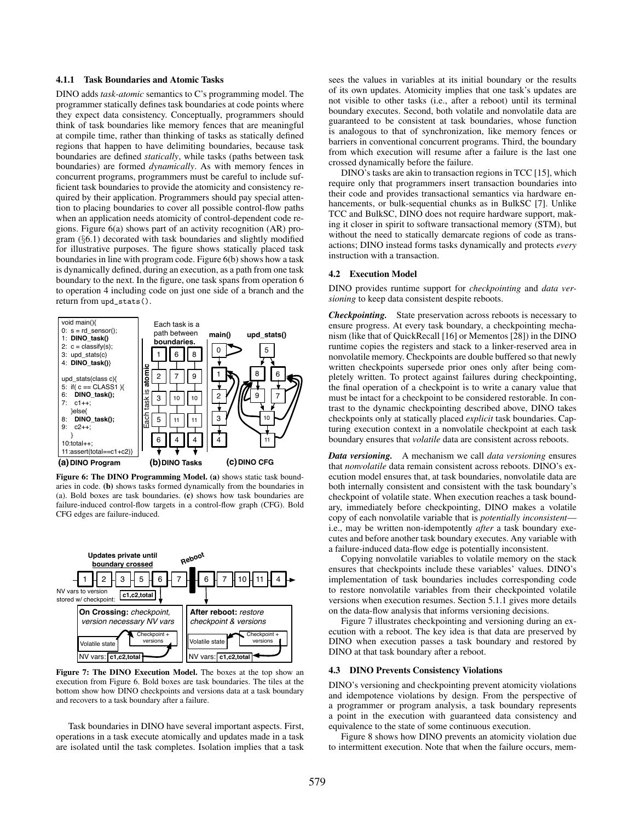# 4.1.1 Task Boundaries and Atomic Tasks

DINO adds *task-atomic* semantics to C's programming model. The programmer statically defines task boundaries at code points where they expect data consistency. Conceptually, programmers should think of task boundaries like memory fences that are meaningful at compile time, rather than thinking of tasks as statically defined regions that happen to have delimiting boundaries, because task boundaries are defined *statically*, while tasks (paths between task boundaries) are formed *dynamically*. As with memory fences in concurrent programs, programmers must be careful to include sufficient task boundaries to provide the atomicity and consistency required by their application. Programmers should pay special attention to placing boundaries to cover all possible control-flow paths when an application needs atomicity of control-dependent code regions. Figure 6(a) shows part of an activity recognition (AR) program (§6.1) decorated with task boundaries and slightly modified for illustrative purposes. The figure shows statically placed task boundaries in line with program code. Figure 6(b) shows how a task is dynamically defined, during an execution, as a path from one task boundary to the next. In the figure, one task spans from operation 6 to operation 4 including code on just one side of a branch and the return from upd\_stats().



Figure 6: The DINO Programming Model. (a) shows static task boundaries in code. (b) shows tasks formed dynamically from the boundaries in (a). Bold boxes are task boundaries. (c) shows how task boundaries are failure-induced control-flow targets in a control-flow graph (CFG). Bold CFG edges are failure-induced.



Figure 7: The DINO Execution Model. The boxes at the top show an execution from Figure 6. Bold boxes are task boundaries. The tiles at the bottom show how DINO checkpoints and versions data at a task boundary and recovers to a task boundary after a failure.

Task boundaries in DINO have several important aspects. First, operations in a task execute atomically and updates made in a task are isolated until the task completes. Isolation implies that a task

sees the values in variables at its initial boundary or the results of its own updates. Atomicity implies that one task's updates are not visible to other tasks (i.e., after a reboot) until its terminal boundary executes. Second, both volatile and nonvolatile data are guaranteed to be consistent at task boundaries, whose function is analogous to that of synchronization, like memory fences or barriers in conventional concurrent programs. Third, the boundary from which execution will resume after a failure is the last one crossed dynamically before the failure.

DINO's tasks are akin to transaction regions in TCC [15], which require only that programmers insert transaction boundaries into their code and provides transactional semantics via hardware enhancements, or bulk-sequential chunks as in BulkSC [7]. Unlike TCC and BulkSC, DINO does not require hardware support, making it closer in spirit to software transactional memory (STM), but without the need to statically demarcate regions of code as transactions; DINO instead forms tasks dynamically and protects *every* instruction with a transaction.

# 4.2 Execution Model

DINO provides runtime support for *checkpointing* and *data versioning* to keep data consistent despite reboots.

*Checkpointing.* State preservation across reboots is necessary to ensure progress. At every task boundary, a checkpointing mechanism (like that of QuickRecall [16] or Mementos [28]) in the DINO runtime copies the registers and stack to a linker-reserved area in nonvolatile memory. Checkpoints are double buffered so that newly written checkpoints supersede prior ones only after being completely written. To protect against failures during checkpointing, the final operation of a checkpoint is to write a canary value that must be intact for a checkpoint to be considered restorable. In contrast to the dynamic checkpointing described above, DINO takes checkpoints only at statically placed *explicit* task boundaries. Capturing execution context in a nonvolatile checkpoint at each task boundary ensures that *volatile* data are consistent across reboots.

*Data versioning.* A mechanism we call *data versioning* ensures that *nonvolatile* data remain consistent across reboots. DINO's execution model ensures that, at task boundaries, nonvolatile data are both internally consistent and consistent with the task boundary's checkpoint of volatile state. When execution reaches a task boundary, immediately before checkpointing, DINO makes a volatile copy of each nonvolatile variable that is *potentially inconsistent* i.e., may be written non-idempotently *after* a task boundary executes and before another task boundary executes. Any variable with a failure-induced data-flow edge is potentially inconsistent.

Copying nonvolatile variables to volatile memory on the stack ensures that checkpoints include these variables' values. DINO's implementation of task boundaries includes corresponding code to restore nonvolatile variables from their checkpointed volatile versions when execution resumes. Section 5.1.1 gives more details on the data-flow analysis that informs versioning decisions.

Figure 7 illustrates checkpointing and versioning during an execution with a reboot. The key idea is that data are preserved by DINO when execution passes a task boundary and restored by DINO at that task boundary after a reboot.

### 4.3 DINO Prevents Consistency Violations

DINO's versioning and checkpointing prevent atomicity violations and idempotence violations by design. From the perspective of a programmer or program analysis, a task boundary represents a point in the execution with guaranteed data consistency and equivalence to the state of some continuous execution.

Figure 8 shows how DINO prevents an atomicity violation due to intermittent execution. Note that when the failure occurs, mem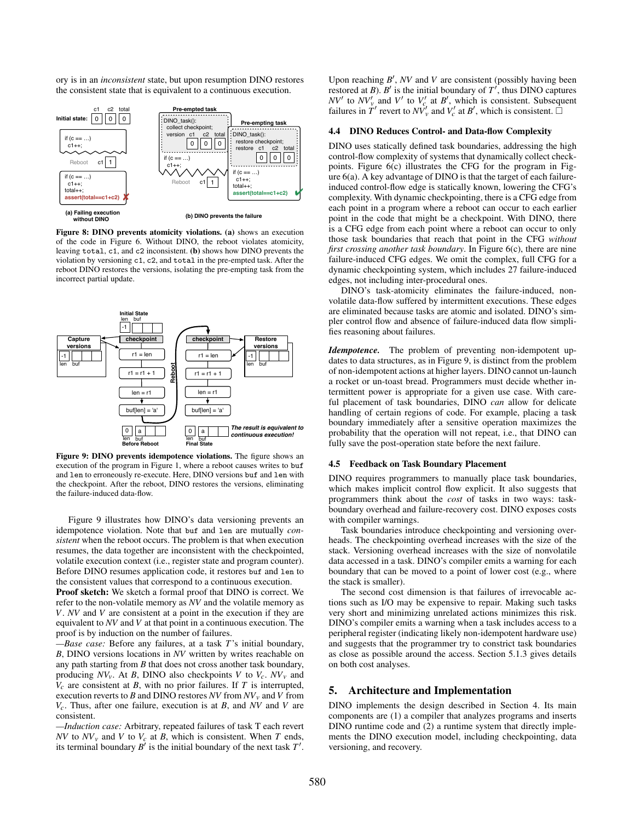ory is in an *inconsistent* state, but upon resumption DINO restores the consistent state that is equivalent to a continuous execution.



Figure 8: DINO prevents atomicity violations. (a) shows an execution of the code in Figure 6. Without DINO, the reboot violates atomicity, leaving total, c1, and c2 inconsistent. (b) shows how DINO prevents the violation by versioning c1, c2, and total in the pre-empted task. After the reboot DINO restores the versions, isolating the pre-empting task from the incorrect partial update.



Figure 9: DINO prevents idempotence violations. The figure shows an execution of the program in Figure 1, where a reboot causes writes to buf and len to erroneously re-execute. Here, DINO versions buf and len with the checkpoint. After the reboot, DINO restores the versions, eliminating the failure-induced data-flow.

Figure 9 illustrates how DINO's data versioning prevents an idempotence violation. Note that buf and len are mutually *consistent* when the reboot occurs. The problem is that when execution resumes, the data together are inconsistent with the checkpointed, volatile execution context (i.e., register state and program counter). Before DINO resumes application code, it restores buf and len to the consistent values that correspond to a continuous execution.

Proof sketch: We sketch a formal proof that DINO is correct. We refer to the non-volatile memory as *NV* and the volatile memory as *V*. *NV* and *V* are consistent at a point in the execution if they are equivalent to *NV* and *V* at that point in a continuous execution. The proof is by induction on the number of failures.

*—Base case:* Before any failures, at a task *T*'s initial boundary, *B*, DINO versions locations in *NV* written by writes reachable on any path starting from *B* that does not cross another task boundary, producing  $NV_v$ . At *B*, DINO also checkpoints *V* to  $V_c$ .  $NV_v$  and  $V_c$  are consistent at *B*, with no prior failures. If *T* is interrupted, execution reverts to *B* and DINO restores *NV* from *NVv* and *V* from *Vc*. Thus, after one failure, execution is at *B*, and *NV* and *V* are consistent.

*—Induction case:* Arbitrary, repeated failures of task T each revert *NV* to  $NV_v$  and *V* to  $V_c$  at *B*, which is consistent. When *T* ends, its terminal boundary  $B'$  is the initial boundary of the next task  $T'$ .

Upon reaching *B'*, *NV* and *V* are consistent (possibly having been restored at *B*).  $B'$  is the initial boundary of  $T'$ , thus DINO captures *NV*<sup> $\prime$ </sup> to *V*<sub> $\prime$ </sub><sup> $\prime$ </sup> to *V*<sub> $\prime$ </sub><sup> $\prime$ </sup> at *B*<sup> $\prime$ </sup>, which is consistent. Subsequent failures in  $\dot{T}'$  revert to  $N\dot{V}'_v$  and  $V'_c$  at  $B'$ , which is consistent.  $\dot{\Box}$ 

#### 4.4 DINO Reduces Control- and Data-flow Complexity

DINO uses statically defined task boundaries, addressing the high control-flow complexity of systems that dynamically collect checkpoints. Figure 6(c) illustrates the CFG for the program in Figure 6(a). A key advantage of DINO is that the target of each failureinduced control-flow edge is statically known, lowering the CFG's complexity. With dynamic checkpointing, there is a CFG edge from each point in a program where a reboot can occur to each earlier point in the code that might be a checkpoint. With DINO, there is a CFG edge from each point where a reboot can occur to only those task boundaries that reach that point in the CFG *without first crossing another task boundary*. In Figure 6(c), there are nine failure-induced CFG edges. We omit the complex, full CFG for a dynamic checkpointing system, which includes 27 failure-induced edges, not including inter-procedural ones.

DINO's task-atomicity eliminates the failure-induced, nonvolatile data-flow suffered by intermittent executions. These edges are eliminated because tasks are atomic and isolated. DINO's simpler control flow and absence of failure-induced data flow simplifies reasoning about failures.

*Idempotence.* The problem of preventing non-idempotent updates to data structures, as in Figure 9, is distinct from the problem of non-idempotent actions at higher layers. DINO cannot un-launch a rocket or un-toast bread. Programmers must decide whether intermittent power is appropriate for a given use case. With careful placement of task boundaries, DINO *can* allow for delicate handling of certain regions of code. For example, placing a task boundary immediately after a sensitive operation maximizes the probability that the operation will not repeat, i.e., that DINO can fully save the post-operation state before the next failure.

#### 4.5 Feedback on Task Boundary Placement

DINO requires programmers to manually place task boundaries, which makes implicit control flow explicit. It also suggests that programmers think about the *cost* of tasks in two ways: taskboundary overhead and failure-recovery cost. DINO exposes costs with compiler warnings.

Task boundaries introduce checkpointing and versioning overheads. The checkpointing overhead increases with the size of the stack. Versioning overhead increases with the size of nonvolatile data accessed in a task. DINO's compiler emits a warning for each boundary that can be moved to a point of lower cost (e.g., where the stack is smaller).

The second cost dimension is that failures of irrevocable actions such as I/O may be expensive to repair. Making such tasks very short and minimizing unrelated actions minimizes this risk. DINO's compiler emits a warning when a task includes access to a peripheral register (indicating likely non-idempotent hardware use) and suggests that the programmer try to constrict task boundaries as close as possible around the access. Section 5.1.3 gives details on both cost analyses.

# 5. Architecture and Implementation

DINO implements the design described in Section 4. Its main components are (1) a compiler that analyzes programs and inserts DINO runtime code and (2) a runtime system that directly implements the DINO execution model, including checkpointing, data versioning, and recovery.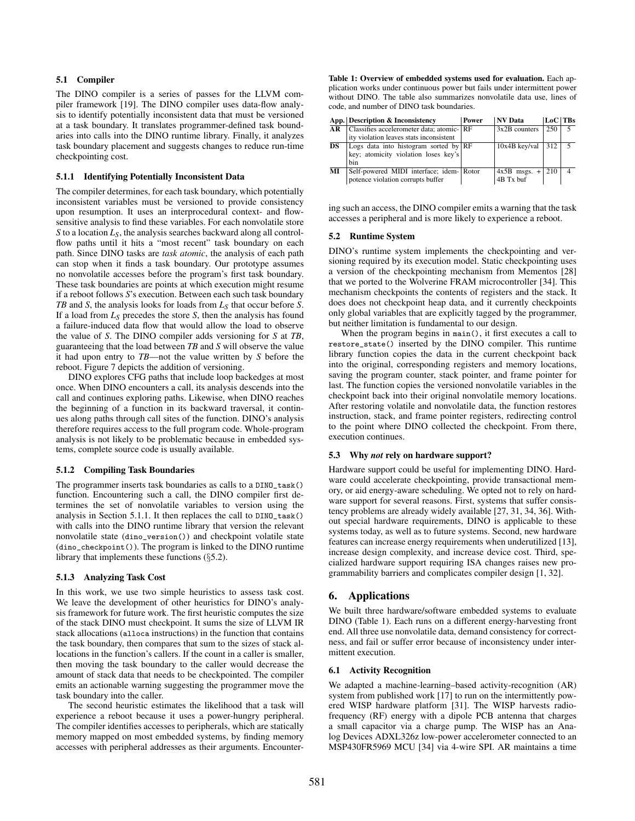# 5.1 Compiler

The DINO compiler is a series of passes for the LLVM compiler framework [19]. The DINO compiler uses data-flow analysis to identify potentially inconsistent data that must be versioned at a task boundary. It translates programmer-defined task boundaries into calls into the DINO runtime library. Finally, it analyzes task boundary placement and suggests changes to reduce run-time checkpointing cost.

### 5.1.1 Identifying Potentially Inconsistent Data

The compiler determines, for each task boundary, which potentially inconsistent variables must be versioned to provide consistency upon resumption. It uses an interprocedural context- and flowsensitive analysis to find these variables. For each nonvolatile store *S* to a location *LS*, the analysis searches backward along all controlflow paths until it hits a "most recent" task boundary on each path. Since DINO tasks are *task atomic*, the analysis of each path can stop when it finds a task boundary. Our prototype assumes no nonvolatile accesses before the program's first task boundary. These task boundaries are points at which execution might resume if a reboot follows *S*'s execution. Between each such task boundary *TB* and *S*, the analysis looks for loads from *L<sup>S</sup>* that occur before *S*. If a load from *L<sup>S</sup>* precedes the store *S*, then the analysis has found a failure-induced data flow that would allow the load to observe the value of *S*. The DINO compiler adds versioning for *S* at *TB*, guaranteeing that the load between *TB* and *S* will observe the value it had upon entry to *TB*—not the value written by *S* before the reboot. Figure 7 depicts the addition of versioning.

DINO explores CFG paths that include loop backedges at most once. When DINO encounters a call, its analysis descends into the call and continues exploring paths. Likewise, when DINO reaches the beginning of a function in its backward traversal, it continues along paths through call sites of the function. DINO's analysis therefore requires access to the full program code. Whole-program analysis is not likely to be problematic because in embedded systems, complete source code is usually available.

# 5.1.2 Compiling Task Boundaries

The programmer inserts task boundaries as calls to a DINO\_task() function. Encountering such a call, the DINO compiler first determines the set of nonvolatile variables to version using the analysis in Section 5.1.1. It then replaces the call to DINO\_task() with calls into the DINO runtime library that version the relevant nonvolatile state (dino\_version()) and checkpoint volatile state (dino\_checkpoint()). The program is linked to the DINO runtime library that implements these functions (§5.2).

#### 5.1.3 Analyzing Task Cost

In this work, we use two simple heuristics to assess task cost. We leave the development of other heuristics for DINO's analysis framework for future work. The first heuristic computes the size of the stack DINO must checkpoint. It sums the size of LLVM IR stack allocations (alloca instructions) in the function that contains the task boundary, then compares that sum to the sizes of stack allocations in the function's callers. If the count in a caller is smaller, then moving the task boundary to the caller would decrease the amount of stack data that needs to be checkpointed. The compiler emits an actionable warning suggesting the programmer move the task boundary into the caller.

The second heuristic estimates the likelihood that a task will experience a reboot because it uses a power-hungry peripheral. The compiler identifies accesses to peripherals, which are statically memory mapped on most embedded systems, by finding memory accesses with peripheral addresses as their arguments. EncounterTable 1: Overview of embedded systems used for evaluation. Each application works under continuous power but fails under intermittent power without DINO. The table also summarizes nonvolatile data use, lines of code, and number of DINO task boundaries.

|    | App. Description & Inconsistency            | Power | <b>NV Data</b>        | LoC TBs |                |
|----|---------------------------------------------|-------|-----------------------|---------|----------------|
| AR | Classifies accelerometer data; atomic-   RF |       | $3x2B$ counters       | 250     | -5             |
|    | ity violation leaves stats inconsistent     |       |                       |         |                |
| DS | Logs data into histogram sorted by RF       |       | $10x4B$ key/val   312 |         | $\sim$         |
|    | key; atomicity violation loses key's        |       |                       |         |                |
|    | hin                                         |       |                       |         |                |
| MI | Self-powered MIDI interface; idem- Rotor    |       | $4x5B$ msgs. $+ 210$  |         | $\overline{A}$ |
|    | potence violation corrupts buffer           |       | 4B Tx buf             |         |                |

ing such an access, the DINO compiler emits a warning that the task accesses a peripheral and is more likely to experience a reboot.

#### 5.2 Runtime System

DINO's runtime system implements the checkpointing and versioning required by its execution model. Static checkpointing uses a version of the checkpointing mechanism from Mementos [28] that we ported to the Wolverine FRAM microcontroller [34]. This mechanism checkpoints the contents of registers and the stack. It does does not checkpoint heap data, and it currently checkpoints only global variables that are explicitly tagged by the programmer, but neither limitation is fundamental to our design.

When the program begins in main(), it first executes a call to restore\_state() inserted by the DINO compiler. This runtime library function copies the data in the current checkpoint back into the original, corresponding registers and memory locations, saving the program counter, stack pointer, and frame pointer for last. The function copies the versioned nonvolatile variables in the checkpoint back into their original nonvolatile memory locations. After restoring volatile and nonvolatile data, the function restores instruction, stack, and frame pointer registers, redirecting control to the point where DINO collected the checkpoint. From there, execution continues.

## 5.3 Why *not* rely on hardware support?

Hardware support could be useful for implementing DINO. Hardware could accelerate checkpointing, provide transactional memory, or aid energy-aware scheduling. We opted not to rely on hardware support for several reasons. First, systems that suffer consistency problems are already widely available [27, 31, 34, 36]. Without special hardware requirements, DINO is applicable to these systems today, as well as to future systems. Second, new hardware features can increase energy requirements when underutilized [13], increase design complexity, and increase device cost. Third, specialized hardware support requiring ISA changes raises new programmability barriers and complicates compiler design [1, 32].

# 6. Applications

We built three hardware/software embedded systems to evaluate DINO (Table 1). Each runs on a different energy-harvesting front end. All three use nonvolatile data, demand consistency for correctness, and fail or suffer error because of inconsistency under intermittent execution.

# 6.1 Activity Recognition

We adapted a machine-learning–based activity-recognition (AR) system from published work [17] to run on the intermittently powered WISP hardware platform [31]. The WISP harvests radiofrequency (RF) energy with a dipole PCB antenna that charges a small capacitor via a charge pump. The WISP has an Analog Devices ADXL326z low-power accelerometer connected to an MSP430FR5969 MCU [34] via 4-wire SPI. AR maintains a time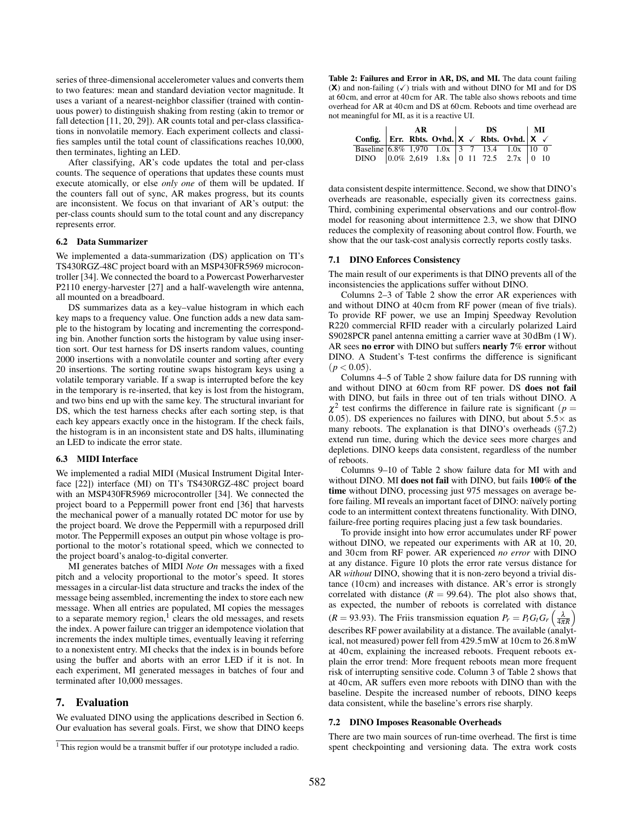series of three-dimensional accelerometer values and converts them to two features: mean and standard deviation vector magnitude. It uses a variant of a nearest-neighbor classifier (trained with continuous power) to distinguish shaking from resting (akin to tremor or fall detection [11, 20, 29]). AR counts total and per-class classifications in nonvolatile memory. Each experiment collects and classifies samples until the total count of classifications reaches 10,000, then terminates, lighting an LED.

After classifying, AR's code updates the total and per-class counts. The sequence of operations that updates these counts must execute atomically, or else *only one* of them will be updated. If the counters fall out of sync, AR makes progress, but its counts are inconsistent. We focus on that invariant of AR's output: the per-class counts should sum to the total count and any discrepancy represents error.

#### 6.2 Data Summarizer

We implemented a data-summarization (DS) application on TI's TS430RGZ-48C project board with an MSP430FR5969 microcontroller [34]. We connected the board to a Powercast Powerharvester P2110 energy-harvester [27] and a half-wavelength wire antenna, all mounted on a breadboard.

DS summarizes data as a key–value histogram in which each key maps to a frequency value. One function adds a new data sample to the histogram by locating and incrementing the corresponding bin. Another function sorts the histogram by value using insertion sort. Our test harness for DS inserts random values, counting 2000 insertions with a nonvolatile counter and sorting after every 20 insertions. The sorting routine swaps histogram keys using a volatile temporary variable. If a swap is interrupted before the key in the temporary is re-inserted, that key is lost from the histogram, and two bins end up with the same key. The structural invariant for DS, which the test harness checks after each sorting step, is that each key appears exactly once in the histogram. If the check fails, the histogram is in an inconsistent state and DS halts, illuminating an LED to indicate the error state.

# 6.3 MIDI Interface

We implemented a radial MIDI (Musical Instrument Digital Interface [22]) interface (MI) on TI's TS430RGZ-48C project board with an MSP430FR5969 microcontroller [34]. We connected the project board to a Peppermill power front end [36] that harvests the mechanical power of a manually rotated DC motor for use by the project board. We drove the Peppermill with a repurposed drill motor. The Peppermill exposes an output pin whose voltage is proportional to the motor's rotational speed, which we connected to the project board's analog-to-digital converter.

MI generates batches of MIDI *Note On* messages with a fixed pitch and a velocity proportional to the motor's speed. It stores messages in a circular-list data structure and tracks the index of the message being assembled, incrementing the index to store each new message. When all entries are populated, MI copies the messages to a separate memory region, $1$  clears the old messages, and resets the index. A power failure can trigger an idempotence violation that increments the index multiple times, eventually leaving it referring to a nonexistent entry. MI checks that the index is in bounds before using the buffer and aborts with an error LED if it is not. In each experiment, MI generated messages in batches of four and terminated after 10,000 messages.

# 7. Evaluation

We evaluated DINO using the applications described in Section 6. Our evaluation has several goals. First, we show that DINO keeps

Table 2: Failures and Error in AR, DS, and MI. The data count failing  $(X)$  and non-failing  $(\checkmark)$  trials with and without DINO for MI and for DS at 60cm, and error at 40cm for AR. The table also shows reboots and time overhead for AR at 40 cm and DS at 60cm. Reboots and time overhead are not meaningful for MI, as it is a reactive UI.

|                                                                                                                                           | AR |  |  | $DS$   MI |  |  |  |  |  |
|-------------------------------------------------------------------------------------------------------------------------------------------|----|--|--|-----------|--|--|--|--|--|
| Config. Err. Rbts. Ovhd. $X \swarrow$ Rbts. Ovhd. $X \swarrow$                                                                            |    |  |  |           |  |  |  |  |  |
| Baseline 6.8% 1,970 1.0x 3 7 13.4 1.0x 10 0                                                                                               |    |  |  |           |  |  |  |  |  |
| DINO $\begin{array}{ l} 0.0\% \end{array}$ 2,619 1.8x $\begin{array}{ l} 0 \end{array}$ 11 72.5 2.7x $\begin{array}{ l} 0 \end{array}$ 10 |    |  |  |           |  |  |  |  |  |

data consistent despite intermittence. Second, we show that DINO's overheads are reasonable, especially given its correctness gains. Third, combining experimental observations and our control-flow model for reasoning about intermittence 2.3, we show that DINO reduces the complexity of reasoning about control flow. Fourth, we show that the our task-cost analysis correctly reports costly tasks.

# 7.1 DINO Enforces Consistency

The main result of our experiments is that DINO prevents all of the inconsistencies the applications suffer without DINO.

Columns 2–3 of Table 2 show the error AR experiences with and without DINO at 40 cm from RF power (mean of five trials). To provide RF power, we use an Impinj Speedway Revolution R220 commercial RFID reader with a circularly polarized Laird S9028PCR panel antenna emitting a carrier wave at 30 dBm (1W). AR sees no error with DINO but suffers nearly 7% error without DINO. A Student's T-test confirms the difference is significant  $(p < 0.05)$ .

Columns 4–5 of Table 2 show failure data for DS running with and without DINO at 60cm from RF power. DS does not fail with DINO, but fails in three out of ten trials without DINO. A  $\chi^2$  test confirms the difference in failure rate is significant ( $p =$ 0.05). DS experiences no failures with DINO, but about  $5.5\times$  as many reboots. The explanation is that DINO's overheads (§7.2) extend run time, during which the device sees more charges and depletions. DINO keeps data consistent, regardless of the number of reboots.

Columns 9–10 of Table 2 show failure data for MI with and without DINO. MI does not fail with DINO, but fails 100% of the time without DINO, processing just 975 messages on average before failing. MI reveals an important facet of DINO: naïvely porting code to an intermittent context threatens functionality. With DINO, failure-free porting requires placing just a few task boundaries.

To provide insight into how error accumulates under RF power without DINO, we repeated our experiments with AR at 10, 20, and 30 cm from RF power. AR experienced *no error* with DINO at any distance. Figure 10 plots the error rate versus distance for AR *without* DINO, showing that it is non-zero beyond a trivial distance (10 cm) and increases with distance. AR's error is strongly correlated with distance  $(R = 99.64)$ . The plot also shows that, as expected, the number of reboots is correlated with distance  $(R = 93.93)$ . The Friis transmission equation  $P_r = P_t G_t G_r \left(\frac{\lambda}{4\pi R}\right)$ describes RF power availability at a distance. The available (analytical, not measured) power fell from 429.5 mW at 10 cm to 26.8 mW at 40 cm, explaining the increased reboots. Frequent reboots explain the error trend: More frequent reboots mean more frequent risk of interrupting sensitive code. Column 3 of Table 2 shows that at 40 cm, AR suffers even more reboots with DINO than with the baseline. Despite the increased number of reboots, DINO keeps data consistent, while the baseline's errors rise sharply.

### 7.2 DINO Imposes Reasonable Overheads

There are two main sources of run-time overhead. The first is time spent checkpointing and versioning data. The extra work costs

<sup>&</sup>lt;sup>1</sup> This region would be a transmit buffer if our prototype included a radio.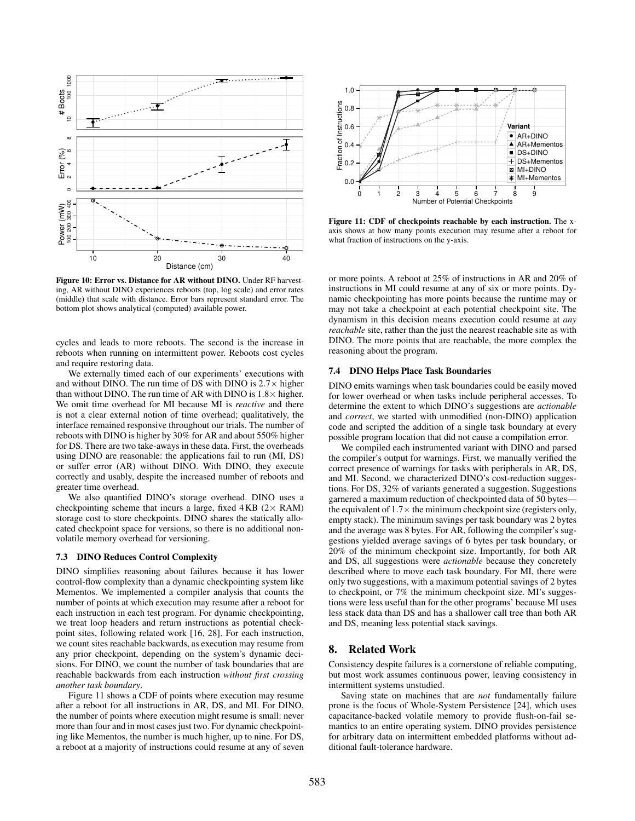

Figure 10: Error vs. Distance for AR without DINO. Under RF harvesting, AR without DINO experiences reboots (top, log scale) and error rates (middle) that scale with distance. Error bars represent standard error. The bottom plot shows analytical (computed) available power.

cycles and leads to more reboots. The second is the increase in reboots when running on intermittent power. Reboots cost cycles and require restoring data.

We externally timed each of our experiments' executions with and without DINO. The run time of DS with DINO is  $2.7\times$  higher than without DINO. The run time of AR with DINO is  $1.8\times$  higher. We omit time overhead for MI because MI is *reactive* and there is not a clear external notion of time overhead; qualitatively, the interface remained responsive throughout our trials. The number of reboots with DINO is higher by 30% for AR and about 550% higher for DS. There are two take-aways in these data. First, the overheads using DINO are reasonable: the applications fail to run (MI, DS) or suffer error (AR) without DINO. With DINO, they execute correctly and usably, despite the increased number of reboots and greater time overhead.

We also quantified DINO's storage overhead. DINO uses a checkpointing scheme that incurs a large, fixed  $4KB$  ( $2 \times RAM$ ) storage cost to store checkpoints. DINO shares the statically allocated checkpoint space for versions, so there is no additional nonvolatile memory overhead for versioning.

# 7.3 DINO Reduces Control Complexity

DINO simplifies reasoning about failures because it has lower control-flow complexity than a dynamic checkpointing system like Mementos. We implemented a compiler analysis that counts the number of points at which execution may resume after a reboot for each instruction in each test program. For dynamic checkpointing, we treat loop headers and return instructions as potential checkpoint sites, following related work [16, 28]. For each instruction, we count sites reachable backwards, as execution may resume from any prior checkpoint, depending on the system's dynamic decisions. For DINO, we count the number of task boundaries that are reachable backwards from each instruction *without first crossing another task boundary*.

Figure 11 shows a CDF of points where execution may resume after a reboot for all instructions in AR, DS, and MI. For DINO, the number of points where execution might resume is small: never more than four and in most cases just two. For dynamic checkpointing like Mementos, the number is much higher, up to nine. For DS, a reboot at a majority of instructions could resume at any of seven



Figure 11: CDF of checkpoints reachable by each instruction. The xaxis shows at how many points execution may resume after a reboot for what fraction of instructions on the y-axis.

or more points. A reboot at 25% of instructions in AR and 20% of instructions in MI could resume at any of six or more points. Dynamic checkpointing has more points because the runtime may or may not take a checkpoint at each potential checkpoint site. The dynamism in this decision means execution could resume at *any reachable* site, rather than the just the nearest reachable site as with DINO. The more points that are reachable, the more complex the reasoning about the program.

# 7.4 DINO Helps Place Task Boundaries

DINO emits warnings when task boundaries could be easily moved for lower overhead or when tasks include peripheral accesses. To determine the extent to which DINO's suggestions are *actionable* and *correct*, we started with unmodified (non-DINO) application code and scripted the addition of a single task boundary at every possible program location that did not cause a compilation error.

We compiled each instrumented variant with DINO and parsed the compiler's output for warnings. First, we manually verified the correct presence of warnings for tasks with peripherals in AR, DS, and MI. Second, we characterized DINO's cost-reduction suggestions. For DS, 32% of variants generated a suggestion. Suggestions garnered a maximum reduction of checkpointed data of 50 bytes the equivalent of  $1.7\times$  the minimum checkpoint size (registers only, empty stack). The minimum savings per task boundary was 2 bytes and the average was 8 bytes. For AR, following the compiler's suggestions yielded average savings of 6 bytes per task boundary, or 20% of the minimum checkpoint size. Importantly, for both AR and DS, all suggestions were *actionable* because they concretely described where to move each task boundary. For MI, there were only two suggestions, with a maximum potential savings of 2 bytes to checkpoint, or 7% the minimum checkpoint size. MI's suggestions were less useful than for the other programs' because MI uses less stack data than DS and has a shallower call tree than both AR and DS, meaning less potential stack savings.

# 8. Related Work

Consistency despite failures is a cornerstone of reliable computing, but most work assumes continuous power, leaving consistency in intermittent systems unstudied.

Saving state on machines that are *not* fundamentally failure prone is the focus of Whole-System Persistence [24], which uses capacitance-backed volatile memory to provide flush-on-fail semantics to an entire operating system. DINO provides persistence for arbitrary data on intermittent embedded platforms without additional fault-tolerance hardware.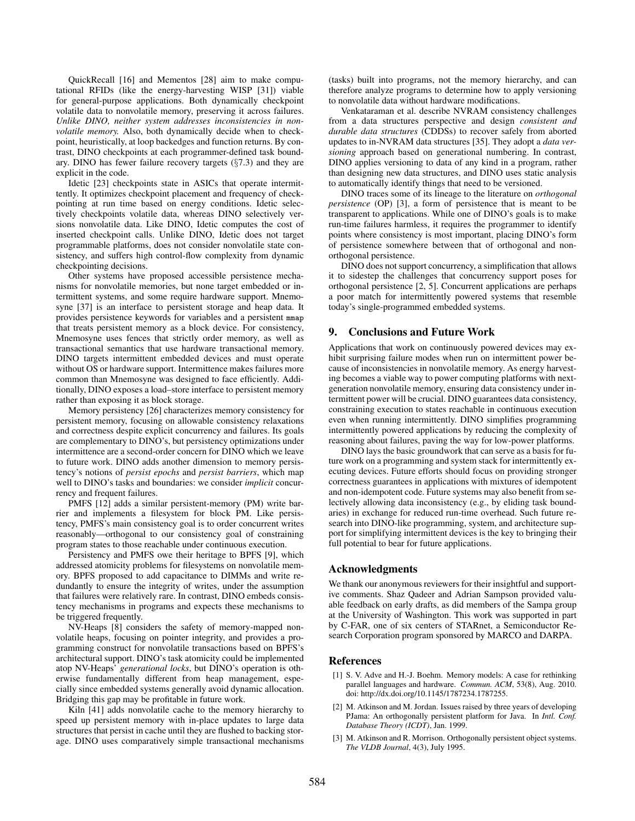QuickRecall [16] and Mementos [28] aim to make computational RFIDs (like the energy-harvesting WISP [31]) viable for general-purpose applications. Both dynamically checkpoint volatile data to nonvolatile memory, preserving it across failures. *Unlike DINO, neither system addresses inconsistencies in nonvolatile memory.* Also, both dynamically decide when to checkpoint, heuristically, at loop backedges and function returns. By contrast, DINO checkpoints at each programmer-defined task boundary. DINO has fewer failure recovery targets (§7.3) and they are explicit in the code.

Idetic [23] checkpoints state in ASICs that operate intermittently. It optimizes checkpoint placement and frequency of checkpointing at run time based on energy conditions. Idetic selectively checkpoints volatile data, whereas DINO selectively versions nonvolatile data. Like DINO, Idetic computes the cost of inserted checkpoint calls. Unlike DINO, Idetic does not target programmable platforms, does not consider nonvolatile state consistency, and suffers high control-flow complexity from dynamic checkpointing decisions.

Other systems have proposed accessible persistence mechanisms for nonvolatile memories, but none target embedded or intermittent systems, and some require hardware support. Mnemosyne [37] is an interface to persistent storage and heap data. It provides persistence keywords for variables and a persistent mmap that treats persistent memory as a block device. For consistency, Mnemosyne uses fences that strictly order memory, as well as transactional semantics that use hardware transactional memory. DINO targets intermittent embedded devices and must operate without OS or hardware support. Intermittence makes failures more common than Mnemosyne was designed to face efficiently. Additionally, DINO exposes a load–store interface to persistent memory rather than exposing it as block storage.

Memory persistency [26] characterizes memory consistency for persistent memory, focusing on allowable consistency relaxations and correctness despite explicit concurrency and failures. Its goals are complementary to DINO's, but persistency optimizations under intermittence are a second-order concern for DINO which we leave to future work. DINO adds another dimension to memory persistency's notions of *persist epochs* and *persist barriers*, which map well to DINO's tasks and boundaries: we consider *implicit* concurrency and frequent failures.

PMFS [12] adds a similar persistent-memory (PM) write barrier and implements a filesystem for block PM. Like persistency, PMFS's main consistency goal is to order concurrent writes reasonably—orthogonal to our consistency goal of constraining program states to those reachable under continuous execution.

Persistency and PMFS owe their heritage to BPFS [9], which addressed atomicity problems for filesystems on nonvolatile memory. BPFS proposed to add capacitance to DIMMs and write redundantly to ensure the integrity of writes, under the assumption that failures were relatively rare. In contrast, DINO embeds consistency mechanisms in programs and expects these mechanisms to be triggered frequently.

NV-Heaps [8] considers the safety of memory-mapped nonvolatile heaps, focusing on pointer integrity, and provides a programming construct for nonvolatile transactions based on BPFS's architectural support. DINO's task atomicity could be implemented atop NV-Heaps' *generational locks*, but DINO's operation is otherwise fundamentally different from heap management, especially since embedded systems generally avoid dynamic allocation. Bridging this gap may be profitable in future work.

Kiln [41] adds nonvolatile cache to the memory hierarchy to speed up persistent memory with in-place updates to large data structures that persist in cache until they are flushed to backing storage. DINO uses comparatively simple transactional mechanisms (tasks) built into programs, not the memory hierarchy, and can therefore analyze programs to determine how to apply versioning to nonvolatile data without hardware modifications.

Venkataraman et al. describe NVRAM consistency challenges from a data structures perspective and design *consistent and durable data structures* (CDDSs) to recover safely from aborted updates to in-NVRAM data structures [35]. They adopt a *data versioning* approach based on generational numbering. In contrast, DINO applies versioning to data of any kind in a program, rather than designing new data structures, and DINO uses static analysis to automatically identify things that need to be versioned.

DINO traces some of its lineage to the literature on *orthogonal persistence* (OP) [3], a form of persistence that is meant to be transparent to applications. While one of DINO's goals is to make run-time failures harmless, it requires the programmer to identify points where consistency is most important, placing DINO's form of persistence somewhere between that of orthogonal and nonorthogonal persistence.

DINO does not support concurrency, a simplification that allows it to sidestep the challenges that concurrency support poses for orthogonal persistence [2, 5]. Concurrent applications are perhaps a poor match for intermittently powered systems that resemble today's single-programmed embedded systems.

# 9. Conclusions and Future Work

Applications that work on continuously powered devices may exhibit surprising failure modes when run on intermittent power because of inconsistencies in nonvolatile memory. As energy harvesting becomes a viable way to power computing platforms with nextgeneration nonvolatile memory, ensuring data consistency under intermittent power will be crucial. DINO guarantees data consistency, constraining execution to states reachable in continuous execution even when running intermittently. DINO simplifies programming intermittently powered applications by reducing the complexity of reasoning about failures, paving the way for low-power platforms.

DINO lays the basic groundwork that can serve as a basis for future work on a programming and system stack for intermittently executing devices. Future efforts should focus on providing stronger correctness guarantees in applications with mixtures of idempotent and non-idempotent code. Future systems may also benefit from selectively allowing data inconsistency (e.g., by eliding task boundaries) in exchange for reduced run-time overhead. Such future research into DINO-like programming, system, and architecture support for simplifying intermittent devices is the key to bringing their full potential to bear for future applications.

# Acknowledgments

We thank our anonymous reviewers for their insightful and supportive comments. Shaz Qadeer and Adrian Sampson provided valuable feedback on early drafts, as did members of the Sampa group at the University of Washington. This work was supported in part by C-FAR, one of six centers of STARnet, a Semiconductor Research Corporation program sponsored by MARCO and DARPA.

# References

- [1] S. V. Adve and H.-J. Boehm. Memory models: A case for rethinking parallel languages and hardware. *Commun. ACM*, 53(8), Aug. 2010. doi: http://dx.doi.org/10.1145/1787234.1787255.
- M. Atkinson and M. Jordan. Issues raised by three years of developing PJama: An orthogonally persistent platform for Java. In *Intl. Conf. Database Theory (ICDT)*, Jan. 1999.
- [3] M. Atkinson and R. Morrison. Orthogonally persistent object systems. *The VLDB Journal*, 4(3), July 1995.